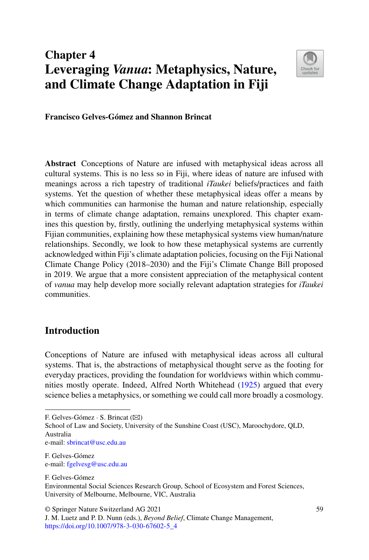# **Chapter 4 Leveraging** *Vanua***: Metaphysics, Nature, and Climate Change Adaptation in Fiji**



**Francisco Gelves-Gómez and Shannon Brincat**

**Abstract** Conceptions of Nature are infused with metaphysical ideas across all cultural systems. This is no less so in Fiji, where ideas of nature are infused with meanings across a rich tapestry of traditional *iTaukei* beliefs/practices and faith systems. Yet the question of whether these metaphysical ideas offer a means by which communities can harmonise the human and nature relationship, especially in terms of climate change adaptation, remains unexplored. This chapter examines this question by, firstly, outlining the underlying metaphysical systems within Fijian communities, explaining how these metaphysical systems view human/nature relationships. Secondly, we look to how these metaphysical systems are currently acknowledged within Fiji's climate adaptation policies, focusing on the Fiji National Climate Change Policy (2018–2030) and the Fiji's Climate Change Bill proposed in 2019. We argue that a more consistent appreciation of the metaphysical content of *vanua* may help develop more socially relevant adaptation strategies for *iTaukei* communities.

## **Introduction**

Conceptions of Nature are infused with metaphysical ideas across all cultural systems. That is, the abstractions of metaphysical thought serve as the footing for everyday practices, providing the foundation for worldviews within which communities mostly operate. Indeed, Alfred North Whitehead [\(1925\)](#page-20-0) argued that every science belies a metaphysics, or something we could call more broadly a cosmology.

School of Law and Society, University of the Sunshine Coast (USC), Maroochydore, QLD, Australia

e-mail: [sbrincat@usc.edu.au](mailto:sbrincat@usc.edu.au)

F. Gelves-Gómez

F. Gelves-Gómez  $\cdot$  S. Brincat ( $\boxtimes$ )

F. Gelves-Gómez e-mail: [fgelvesg@usc.edu.au](mailto:fgelvesg@usc.edu.au)

Environmental Social Sciences Research Group, School of Ecosystem and Forest Sciences, University of Melbourne, Melbourne, VIC, Australia

<sup>©</sup> Springer Nature Switzerland AG 2021

J. M. Luetz and P. D. Nunn (eds.), *Beyond Belief*, Climate Change Management, [https://doi.org/10.1007/978-3-030-67602-5\\_4](https://doi.org/10.1007/978-3-030-67602-5_4)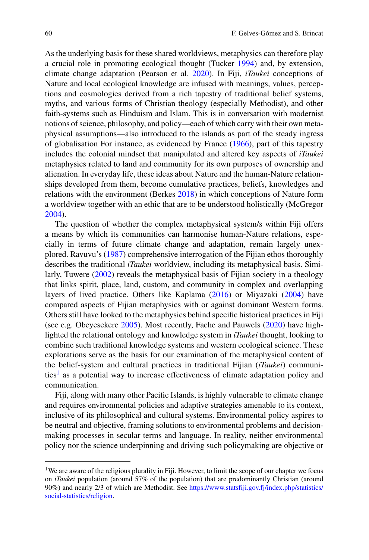As the underlying basis for these shared worldviews, metaphysics can therefore play a crucial role in promoting ecological thought (Tucker [1994\)](#page-20-1) and, by extension, climate change adaptation (Pearson et al. [2020\)](#page-19-0). In Fiji, *iTaukei* conceptions of Nature and local ecological knowledge are infused with meanings, values, perceptions and cosmologies derived from a rich tapestry of traditional belief systems, myths, and various forms of Christian theology (especially Methodist), and other faith-systems such as Hinduism and Islam. This is in conversation with modernist notions of science, philosophy, and policy—each of which carry with their own metaphysical assumptions—also introduced to the islands as part of the steady ingress of globalisation For instance, as evidenced by France [\(1966\)](#page-18-0), part of this tapestry includes the colonial mindset that manipulated and altered key aspects of *iTaukei* metaphysics related to land and community for its own purposes of ownership and alienation. In everyday life, these ideas about Nature and the human-Nature relationships developed from them, become cumulative practices, beliefs, knowledges and relations with the environment (Berkes [2018\)](#page-17-0) in which conceptions of Nature form a worldview together with an ethic that are to be understood holistically (McGregor [2004\)](#page-19-1).

The question of whether the complex metaphysical system/s within Fiji offers a means by which its communities can harmonise human-Nature relations, especially in terms of future climate change and adaptation, remain largely unexplored. Ravuvu's [\(1987\)](#page-19-2) comprehensive interrogation of the Fijian ethos thoroughly describes the traditional *iTaukei* worldview, including its metaphysical basis. Similarly, Tuwere [\(2002\)](#page-20-2) reveals the metaphysical basis of Fijian society in a theology that links spirit, place, land, custom, and community in complex and overlapping layers of lived practice. Others like Kaplama [\(2016\)](#page-18-1) or Miyazaki [\(2004\)](#page-19-3) have compared aspects of Fijian metaphysics with or against dominant Western forms. Others still have looked to the metaphysics behind specific historical practices in Fiji (see e.g. Obeyesekere [2005\)](#page-19-4). Most recently, Fache and Pauwels [\(2020\)](#page-18-2) have highlighted the relational ontology and knowledge system in *iTaukei* thought, looking to combine such traditional knowledge systems and western ecological science. These explorations serve as the basis for our examination of the metaphysical content of the belief-system and cultural practices in traditional Fijian (*iTaukei*) communi-ties<sup>[1](#page-1-0)</sup> as a potential way to increase effectiveness of climate adaptation policy and communication.

Fiji, along with many other Pacific Islands, is highly vulnerable to climate change and requires environmental policies and adaptive strategies amenable to its context, inclusive of its philosophical and cultural systems. Environmental policy aspires to be neutral and objective, framing solutions to environmental problems and decisionmaking processes in secular terms and language. In reality, neither environmental policy nor the science underpinning and driving such policymaking are objective or

<span id="page-1-0"></span><sup>&</sup>lt;sup>1</sup>We are aware of the religious plurality in Fiji. However, to limit the scope of our chapter we focus on *iTaukei* population (around 57% of the population) that are predominantly Christian (around [90%\) and nearly 2/3 of which are Methodist. See](https://www.statsfiji.gov.fj/index.php/statistics/social-statistics/religion) https://www.statsfiji.gov.fj/index.php/statistics/ social-statistics/religion.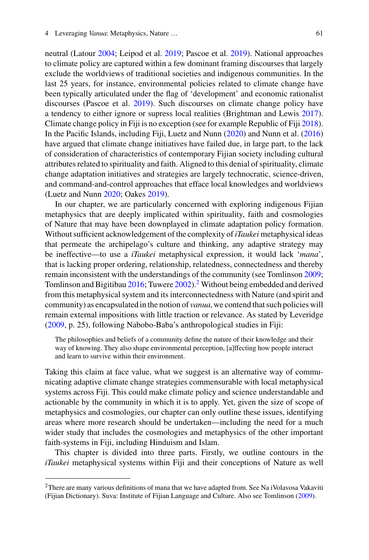neutral (Latour [2004;](#page-18-3) Leipod et al. [2019;](#page-19-5) Pascoe et al. [2019\)](#page-19-6). National approaches to climate policy are captured within a few dominant framing discourses that largely exclude the worldviews of traditional societies and indigenous communities. In the last 25 years, for instance, environmental policies related to climate change have been typically articulated under the flag of 'development' and economic rationalist discourses (Pascoe et al. [2019\)](#page-19-6). Such discourses on climate change policy have a tendency to either ignore or supress local realities (Brightman and Lewis [2017\)](#page-18-4). Climate change policy in Fiji is no exception (see for example Republic of Fiji [2018\)](#page-19-7). In the Pacific Islands, including Fiji, Luetz and Nunn [\(2020\)](#page-19-8) and Nunn et al. [\(2016\)](#page-19-9) have argued that climate change initiatives have failed due, in large part, to the lack of consideration of characteristics of contemporary Fijian society including cultural attributes related to spirituality and faith. Aligned to this denial of spirituality, climate change adaptation initiatives and strategies are largely technocratic, science-driven, and command-and-control approaches that efface local knowledges and worldviews (Luetz and Nunn [2020;](#page-19-8) Oakes [2019\)](#page-19-10).

In our chapter, we are particularly concerned with exploring indigenous Fijian metaphysics that are deeply implicated within spirituality, faith and cosmologies of Nature that may have been downplayed in climate adaptation policy formation. Without sufficient acknowledgement of the complexity of*iTaukei* metaphysical ideas that permeate the archipelago's culture and thinking, any adaptive strategy may be ineffective—to use a *iTaukei* metaphysical expression, it would lack '*mana*', that is lacking proper ordering, relationship, relatedness, connectedness and thereby remain inconsistent with the understandings of the community (see Tomlinson [2009;](#page-20-3) Tomlinson and Bigitibau  $2016$ ; Tuwere  $2002$ ).<sup>2</sup> Without being embedded and derived from this metaphysical system and its interconnectedness with Nature (and spirit and community) as encapsulated in the notion of *vanua*, we contend that such policies will remain external impositions with little traction or relevance. As stated by Leveridge [\(2009,](#page-19-11) p. 25), following Nabobo-Baba's anthropological studies in Fiji:

The philosophies and beliefs of a community define the nature of their knowledge and their way of knowing. They also shape environmental perception, [a]ffecting how people interact and learn to survive within their environment.

Taking this claim at face value, what we suggest is an alternative way of communicating adaptive climate change strategies commensurable with local metaphysical systems across Fiji. This could make climate policy and science understandable and actionable by the community in which it is to apply. Yet, given the size of scope of metaphysics and cosmologies, our chapter can only outline these issues, identifying areas where more research should be undertaken—including the need for a much wider study that includes the cosmologies and metaphysics of the other important faith-systems in Fiji, including Hinduism and Islam.

This chapter is divided into three parts. Firstly, we outline contours in the *iTaukei* metaphysical systems within Fiji and their conceptions of Nature as well

<span id="page-2-0"></span><sup>&</sup>lt;sup>2</sup>There are many various definitions of mana that we have adapted from. See Na iVolavosa Vakaviti (Fijian Dictionary). Suva: Institute of Fijian Language and Culture. Also see Tomlinson [\(2009\)](#page-20-3).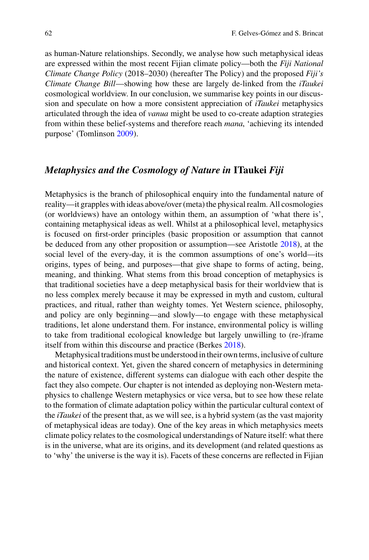as human-Nature relationships. Secondly, we analyse how such metaphysical ideas are expressed within the most recent Fijian climate policy—both the *Fiji National Climate Change Policy* (2018–2030) (hereafter The Policy) and the proposed *Fiji's Climate Change Bill*—showing how these are largely de-linked from the *iTaukei* cosmological worldview. In our conclusion, we summarise key points in our discussion and speculate on how a more consistent appreciation of *iTaukei* metaphysics articulated through the idea of *vanua* might be used to co-create adaption strategies from within these belief-systems and therefore reach *mana*, 'achieving its intended purpose' (Tomlinson [2009\)](#page-20-3).

# *Metaphysics and the Cosmology of Nature in* **ITaukei** *Fiji*

Metaphysics is the branch of philosophical enquiry into the fundamental nature of reality—it grapples with ideas above/over (meta) the physical realm. All cosmologies (or worldviews) have an ontology within them, an assumption of 'what there is', containing metaphysical ideas as well. Whilst at a philosophical level, metaphysics is focused on first-order principles (basic proposition or assumption that cannot be deduced from any other proposition or assumption—see Aristotle [2018\)](#page-17-1), at the social level of the every-day, it is the common assumptions of one's world—its origins, types of being, and purposes—that give shape to forms of acting, being, meaning, and thinking. What stems from this broad conception of metaphysics is that traditional societies have a deep metaphysical basis for their worldview that is no less complex merely because it may be expressed in myth and custom, cultural practices, and ritual, rather than weighty tomes. Yet Western science, philosophy, and policy are only beginning—and slowly—to engage with these metaphysical traditions, let alone understand them. For instance, environmental policy is willing to take from traditional ecological knowledge but largely unwilling to (re-)frame itself from within this discourse and practice (Berkes [2018\)](#page-17-0).

Metaphysical traditions must be understood in their own terms, inclusive of culture and historical context. Yet, given the shared concern of metaphysics in determining the nature of existence, different systems can dialogue with each other despite the fact they also compete. Our chapter is not intended as deploying non-Western metaphysics to challenge Western metaphysics or vice versa, but to see how these relate to the formation of climate adaptation policy within the particular cultural context of the *iTaukei* of the present that, as we will see, is a hybrid system (as the vast majority of metaphysical ideas are today). One of the key areas in which metaphysics meets climate policy relates to the cosmological understandings of Nature itself: what there is in the universe, what are its origins, and its development (and related questions as to 'why' the universe is the way it is). Facets of these concerns are reflected in Fijian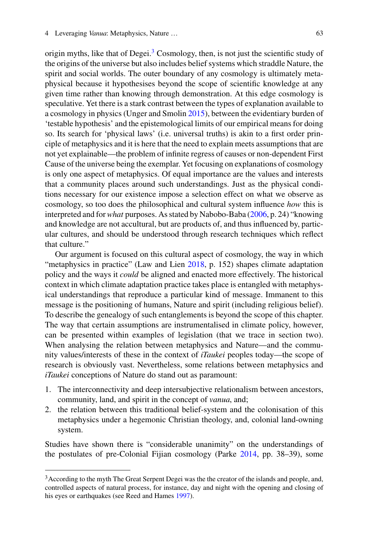origin myths, like that of Degei.<sup>[3](#page-4-0)</sup> Cosmology, then, is not just the scientific study of the origins of the universe but also includes belief systems which straddle Nature, the spirit and social worlds. The outer boundary of any cosmology is ultimately metaphysical because it hypothesises beyond the scope of scientific knowledge at any given time rather than knowing through demonstration. At this edge cosmology is speculative. Yet there is a stark contrast between the types of explanation available to a cosmology in physics (Unger and Smolin [2015\)](#page-20-5), between the evidentiary burden of 'testable hypothesis' and the epistemological limits of our empirical means for doing so. Its search for 'physical laws' (i.e. universal truths) is akin to a first order principle of metaphysics and it is here that the need to explain meets assumptions that are not yet explainable—the problem of infinite regress of causes or non-dependent First Cause of the universe being the exemplar. Yet focusing on explanations of cosmology is only one aspect of metaphysics. Of equal importance are the values and interests that a community places around such understandings. Just as the physical conditions necessary for our existence impose a selection effect on what we observe as cosmology, so too does the philosophical and cultural system influence *how* this is interpreted and for*what* purposes. As stated by Nabobo-Baba [\(2006,](#page-19-12) p. 24) "knowing and knowledge are not accultural, but are products of, and thus influenced by, particular cultures, and should be understood through research techniques which reflect that culture."

Our argument is focused on this cultural aspect of cosmology, the way in which "metaphysics in practice" (Law and Lien [2018,](#page-19-13) p. 152) shapes climate adaptation policy and the ways it *could* be aligned and enacted more effectively. The historical context in which climate adaptation practice takes place is entangled with metaphysical understandings that reproduce a particular kind of message. Immanent to this message is the positioning of humans, Nature and spirit (including religious belief). To describe the genealogy of such entanglements is beyond the scope of this chapter. The way that certain assumptions are instrumentalised in climate policy, however, can be presented within examples of legislation (that we trace in section two). When analysing the relation between metaphysics and Nature—and the community values/interests of these in the context of *iTaukei* peoples today—the scope of research is obviously vast. Nevertheless, some relations between metaphysics and *iTaukei* conceptions of Nature do stand out as paramount:

- 1. The interconnectivity and deep intersubjective relationalism between ancestors, community, land, and spirit in the concept of *vanua*, and;
- 2. the relation between this traditional belief-system and the colonisation of this metaphysics under a hegemonic Christian theology, and, colonial land-owning system.

Studies have shown there is "considerable unanimity" on the understandings of the postulates of pre-Colonial Fijian cosmology (Parke [2014,](#page-19-14) pp. 38–39), some

<span id="page-4-0"></span><sup>&</sup>lt;sup>3</sup> According to the myth The Great Serpent Degei was the the creator of the islands and people, and, controlled aspects of natural process, for instance, day and night with the opening and closing of his eyes or earthquakes (see Reed and Hames [1997\)](#page-19-15).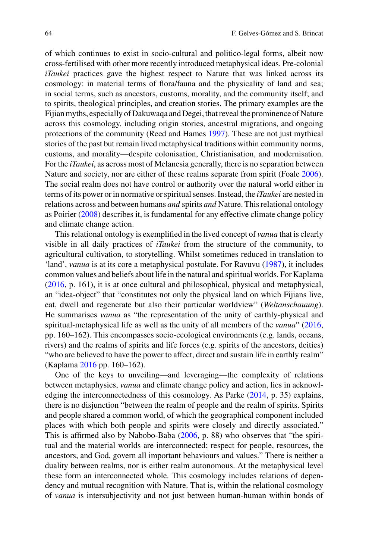of which continues to exist in socio-cultural and politico-legal forms, albeit now cross-fertilised with other more recently introduced metaphysical ideas. Pre-colonial *iTaukei* practices gave the highest respect to Nature that was linked across its cosmology: in material terms of flora/fauna and the physicality of land and sea; in social terms, such as ancestors, customs, morality, and the community itself; and to spirits, theological principles, and creation stories. The primary examples are the Fijian myths, especially of Dakuwaqa and Degei, that reveal the prominence of Nature across this cosmology, including origin stories, ancestral migrations, and ongoing protections of the community (Reed and Hames [1997\)](#page-19-15). These are not just mythical stories of the past but remain lived metaphysical traditions within community norms, customs, and morality—despite colonisation, Christianisation, and modernisation. For the *iTaukei*, as across most of Melanesia generally, there is no separation between Nature and society, nor are either of these realms separate from spirit (Foale [2006\)](#page-18-5). The social realm does not have control or authority over the natural world either in terms of its power or in normative or spiritual senses. Instead, the *iTaukei* are nested in relations across and between humans *and* spirits *and* Nature. This relational ontology as Poirier [\(2008\)](#page-19-16) describes it, is fundamental for any effective climate change policy and climate change action.

This relational ontology is exemplified in the lived concept of *vanua* that is clearly visible in all daily practices of *iTaukei* from the structure of the community, to agricultural cultivation, to storytelling. Whilst sometimes reduced in translation to 'land', *vanua* is at its core a metaphysical postulate. For Ravuvu [\(1987\)](#page-19-2), it includes common values and beliefs about life in the natural and spiritual worlds. For Kaplama [\(2016,](#page-18-1) p. 161), it is at once cultural and philosophical, physical and metaphysical, an "idea-object" that "constitutes not only the physical land on which Fijians live, eat, dwell and regenerate but also their particular worldview" (*Weltanschauung*). He summarises *vanua* as "the representation of the unity of earthly-physical and spiritual-metaphysical life as well as the unity of all members of the *vanua*" [\(2016,](#page-18-1) pp. 160–162). This encompasses socio-ecological environments (e.g. lands, oceans, rivers) and the realms of spirits and life forces (e.g. spirits of the ancestors, deities) "who are believed to have the power to affect, direct and sustain life in earthly realm" (Kaplama [2016](#page-18-1) pp. 160–162).

One of the keys to unveiling—and leveraging—the complexity of relations between metaphysics, *vanua* and climate change policy and action, lies in acknowledging the interconnectedness of this cosmology. As Parke [\(2014,](#page-19-14) p. 35) explains, there is no disjunction "between the realm of people and the realm of spirits. Spirits and people shared a common world, of which the geographical component included places with which both people and spirits were closely and directly associated." This is affirmed also by Nabobo-Baba [\(2006,](#page-19-12) p. 88) who observes that "the spiritual and the material worlds are interconnected; respect for people, resources, the ancestors, and God, govern all important behaviours and values." There is neither a duality between realms, nor is either realm autonomous. At the metaphysical level these form an interconnected whole. This cosmology includes relations of dependency and mutual recognition with Nature. That is, within the relational cosmology of *vanua* is intersubjectivity and not just between human-human within bonds of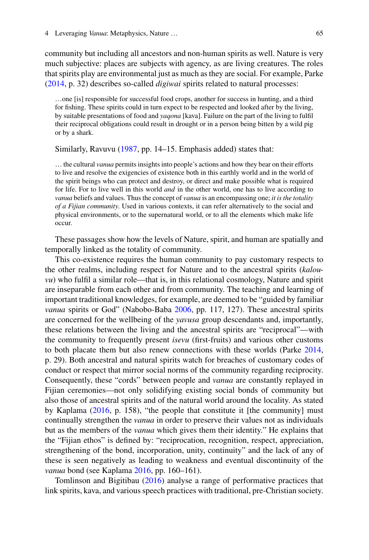community but including all ancestors and non-human spirits as well. Nature is very much subjective: places are subjects with agency, as are living creatures. The roles that spirits play are environmental just as much as they are social. For example, Parke [\(2014,](#page-19-14) p. 32) describes so-called *digiwai* spirits related to natural processes:

…one [is] responsible for successful food crops, another for success in hunting, and a third for fishing. These spirits could in turn expect to be respected and looked after by the living, by suitable presentations of food and *yaqona* [kava]. Failure on the part of the living to fulfil their reciprocal obligations could result in drought or in a person being bitten by a wild pig or by a shark.

#### Similarly, Ravuvu [\(1987,](#page-19-2) pp. 14–15. Emphasis added) states that:

… the cultural *vanua* permits insights into people's actions and how they bear on their efforts to live and resolve the exigencies of existence both in this earthly world and in the world of the spirit beings who can protect and destroy, or direct and make possible what is required for life. For to live well in this world *and* in the other world, one has to live according to *vanua* beliefs and values. Thus the concept of *vanua* is an encompassing one; *it is the totality of a Fijian community*. Used in various contexts, it can refer alternatively to the social and physical environments, or to the supernatural world, or to all the elements which make life occur.

These passages show how the levels of Nature, spirit, and human are spatially and temporally linked as the totality of community.

This co-existence requires the human community to pay customary respects to the other realms, including respect for Nature and to the ancestral spirits (*kalouvu*) who fulfil a similar role—that is, in this relational cosmology, Nature and spirit are inseparable from each other and from community. The teaching and learning of important traditional knowledges, for example, are deemed to be "guided by familiar *vanua* spirits or God" (Nabobo-Baba [2006,](#page-19-12) pp. 117, 127). These ancestral spirits are concerned for the wellbeing of the *yavusa* group descendants and, importantly, these relations between the living and the ancestral spirits are "reciprocal"—with the community to frequently present *isevu* (first-fruits) and various other customs to both placate them but also renew connections with these worlds (Parke [2014,](#page-19-14) p. 29). Both ancestral and natural spirits watch for breaches of customary codes of conduct or respect that mirror social norms of the community regarding reciprocity. Consequently, these "cords" between people and *vanua* are constantly replayed in Fijian ceremonies—not only solidifying existing social bonds of community but also those of ancestral spirits and of the natural world around the locality. As stated by Kaplama [\(2016,](#page-18-1) p. 158), "the people that constitute it [the community] must continually strengthen the *vanua* in order to preserve their values not as individuals but as the members of the *vanua* which gives them their identity." He explains that the "Fijian ethos" is defined by: "reciprocation, recognition, respect, appreciation, strengthening of the bond, incorporation, unity, continuity" and the lack of any of these is seen negatively as leading to weakness and eventual discontinuity of the *vanua* bond (see Kaplama [2016,](#page-18-1) pp. 160–161).

Tomlinson and Bigitibau [\(2016\)](#page-20-4) analyse a range of performative practices that link spirits, kava, and various speech practices with traditional, pre-Christian society.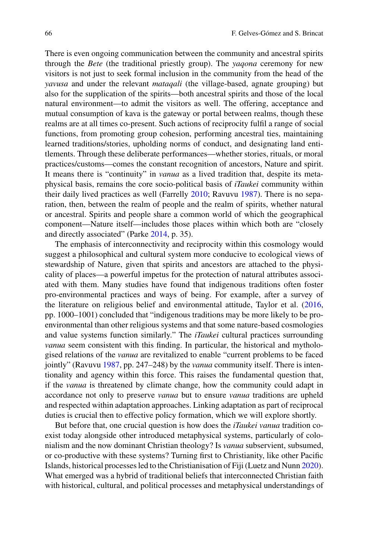There is even ongoing communication between the community and ancestral spirits through the *Bete* (the traditional priestly group). The *yaqona* ceremony for new visitors is not just to seek formal inclusion in the community from the head of the *yavusa* and under the relevant *mataqali* (the village-based, agnate grouping) but also for the supplication of the spirits—both ancestral spirits and those of the local natural environment—to admit the visitors as well. The offering, acceptance and mutual consumption of kava is the gateway or portal between realms, though these realms are at all times co-present. Such actions of reciprocity fulfil a range of social functions, from promoting group cohesion, performing ancestral ties, maintaining learned traditions/stories, upholding norms of conduct, and designating land entitlements. Through these deliberate performances—whether stories, rituals, or moral practices/customs—comes the constant recognition of ancestors, Nature and spirit. It means there is "continuity" in *vanua* as a lived tradition that, despite its metaphysical basis, remains the core socio-political basis of *iTaukei* community within their daily lived practices as well (Farrelly [2010;](#page-18-6) Ravuvu [1987\)](#page-19-2). There is no separation, then, between the realm of people and the realm of spirits, whether natural or ancestral. Spirits and people share a common world of which the geographical component—Nature itself—includes those places within which both are "closely and directly associated" (Parke [2014,](#page-19-14) p. 35).

The emphasis of interconnectivity and reciprocity within this cosmology would suggest a philosophical and cultural system more conducive to ecological views of stewardship of Nature, given that spirits and ancestors are attached to the physicality of places—a powerful impetus for the protection of natural attributes associated with them. Many studies have found that indigenous traditions often foster pro-environmental practices and ways of being. For example, after a survey of the literature on religious belief and environmental attitude, Taylor et al. [\(2016,](#page-20-6) pp. 1000–1001) concluded that "indigenous traditions may be more likely to be proenvironmental than other religious systems and that some nature-based cosmologies and value systems function similarly." The *iTaukei* cultural practices surrounding *vanua* seem consistent with this finding. In particular, the historical and mythologised relations of the *vanua* are revitalized to enable "current problems to be faced jointly" (Ravuvu [1987,](#page-19-2) pp. 247–248) by the *vanua* community itself. There is intentionality and agency within this force. This raises the fundamental question that, if the *vanua* is threatened by climate change, how the community could adapt in accordance not only to preserve *vanua* but to ensure *vanua* traditions are upheld and respected within adaptation approaches. Linking adaptation as part of reciprocal duties is crucial then to effective policy formation, which we will explore shortly.

But before that, one crucial question is how does the *iTaukei vanua* tradition coexist today alongside other introduced metaphysical systems, particularly of colonialism and the now dominant Christian theology? Is *vanua* subservient, subsumed, or co-productive with these systems? Turning first to Christianity, like other Pacific Islands, historical processes led to the Christianisation of Fiji (Luetz and Nunn [2020\)](#page-19-8). What emerged was a hybrid of traditional beliefs that interconnected Christian faith with historical, cultural, and political processes and metaphysical understandings of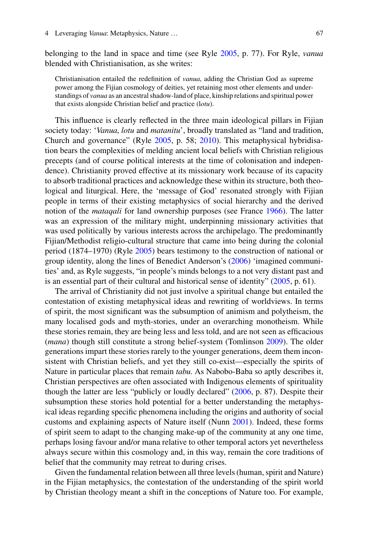belonging to the land in space and time (see Ryle [2005,](#page-20-7) p. 77). For Ryle, *vanua* blended with Christianisation, as she writes:

Christianisation entailed the redefinition of *vanua*, adding the Christian God as supreme power among the Fijian cosmology of deities, yet retaining most other elements and understandings of *vanua* as an ancestral shadow-land of place, kinship relations and spiritual power that exists alongside Christian belief and practice (l*otu*).

This influence is clearly reflected in the three main ideological pillars in Fijian society today: '*Vanua*, *lotu* and *matanitu*', broadly translated as "land and tradition, Church and governance" (Ryle [2005,](#page-20-7) p. 58; [2010\)](#page-20-8). This metaphysical hybridisation bears the complexities of melding ancient local beliefs with Christian religious precepts (and of course political interests at the time of colonisation and independence). Christianity proved effective at its missionary work because of its capacity to absorb traditional practices and acknowledge these within its structure, both theological and liturgical. Here, the 'message of God' resonated strongly with Fijian people in terms of their existing metaphysics of social hierarchy and the derived notion of the *mataqali* for land ownership purposes (see France [1966\)](#page-18-0). The latter was an expression of the military might, underpinning missionary activities that was used politically by various interests across the archipelago. The predominantly Fijian/Methodist religio-cultural structure that came into being during the colonial period (1874–1970) (Ryle [2005\)](#page-20-7) bears testimony to the construction of national or group identity, along the lines of Benedict Anderson's [\(2006\)](#page-17-2) 'imagined communities' and, as Ryle suggests, "in people's minds belongs to a not very distant past and is an essential part of their cultural and historical sense of identity" [\(2005,](#page-20-7) p. 61).

The arrival of Christianity did not just involve a spiritual change but entailed the contestation of existing metaphysical ideas and rewriting of worldviews. In terms of spirit, the most significant was the subsumption of animism and polytheism, the many localised gods and myth-stories, under an overarching monotheism. While these stories remain, they are being less and less told, and are not seen as efficacious (*mana*) though still constitute a strong belief-system (Tomlinson [2009\)](#page-20-3). The older generations impart these stories rarely to the younger generations, deem them inconsistent with Christian beliefs, and yet they still co-exist—especially the spirits of Nature in particular places that remain *tabu*. As Nabobo-Baba so aptly describes it, Christian perspectives are often associated with Indigenous elements of spirituality though the latter are less "publicly or loudly declared" [\(2006,](#page-19-12) p. 87). Despite their subsumption these stories hold potential for a better understanding the metaphysical ideas regarding specific phenomena including the origins and authority of social customs and explaining aspects of Nature itself (Nunn [2001\)](#page-19-17). Indeed, these forms of spirit seem to adapt to the changing make-up of the community at any one time, perhaps losing favour and/or mana relative to other temporal actors yet nevertheless always secure within this cosmology and, in this way, remain the core traditions of belief that the community may retreat to during crises.

Given the fundamental relation between all three levels (human, spirit and Nature) in the Fijian metaphysics, the contestation of the understanding of the spirit world by Christian theology meant a shift in the conceptions of Nature too. For example,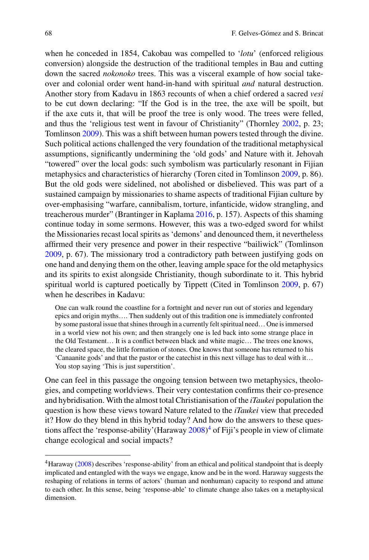when he conceded in 1854, Cakobau was compelled to '*lotu*' (enforced religious conversion) alongside the destruction of the traditional temples in Bau and cutting down the sacred *nokonoko* trees. This was a visceral example of how social takeover and colonial order went hand-in-hand with spiritual *and* natural destruction. Another story from Kadavu in 1863 recounts of when a chief ordered a sacred *vesi* to be cut down declaring: "If the God is in the tree, the axe will be spoilt, but if the axe cuts it, that will be proof the tree is only wood. The trees were felled, and thus the 'religious test went in favour of Christianity" (Thornley [2002,](#page-20-9) p. 23; Tomlinson [2009\)](#page-20-3). This was a shift between human powers tested through the divine. Such political actions challenged the very foundation of the traditional metaphysical assumptions, significantly undermining the 'old gods' and Nature with it. Jehovah "towered" over the local gods: such symbolism was particularly resonant in Fijian metaphysics and characteristics of hierarchy (Toren cited in Tomlinson [2009,](#page-20-3) p. 86). But the old gods were sidelined, not abolished or disbelieved. This was part of a sustained campaign by missionaries to shame aspects of traditional Fijian culture by over-emphasising "warfare, cannibalism, torture, infanticide, widow strangling, and treacherous murder" (Brantinger in Kaplama [2016,](#page-18-1) p. 157). Aspects of this shaming continue today in some sermons. However, this was a two-edged sword for whilst the Missionaries recast local spirits as 'demons' and denounced them, it nevertheless affirmed their very presence and power in their respective "bailiwick" (Tomlinson [2009,](#page-20-3) p. 67). The missionary trod a contradictory path between justifying gods on one hand and denying them on the other, leaving ample space for the old metaphysics and its spirits to exist alongside Christianity, though subordinate to it. This hybrid spiritual world is captured poetically by Tippett (Cited in Tomlinson [2009,](#page-20-3) p. 67) when he describes in Kadavu:

One can walk round the coastline for a fortnight and never run out of stories and legendary epics and origin myths…. Then suddenly out of this tradition one is immediately confronted by some pastoral issue that shines through in a currently felt spiritual need… One is immersed in a world view not his own; and then strangely one is led back into some strange place in the Old Testament… It is a conflict between black and white magic… The trees one knows, the cleared space, the little formation of stones. One knows that someone has returned to his 'Canaanite gods' and that the pastor or the catechist in this next village has to deal with it… You stop saying 'This is just superstition'.

One can feel in this passage the ongoing tension between two metaphysics, theologies, and competing worldviews. Their very contestation confirms their co-presence and hybridisation. With the almost total Christianisation of the *iTaukei* population the question is how these views toward Nature related to the *iTaukei* view that preceded it? How do they blend in this hybrid today? And how do the answers to these ques-tions affect the 'response-ability' (Haraway [2008\)](#page-18-7)<sup>[4](#page-9-0)</sup> of Fiji's people in view of climate change ecological and social impacts?

<span id="page-9-0"></span><sup>4</sup>Haraway [\(2008\)](#page-18-7) describes 'response-ability' from an ethical and political standpoint that is deeply implicated and entangled with the ways we engage, know and be in the word. Haraway suggests the reshaping of relations in terms of actors' (human and nonhuman) capacity to respond and attune to each other. In this sense, being 'response-able' to climate change also takes on a metaphysical dimension.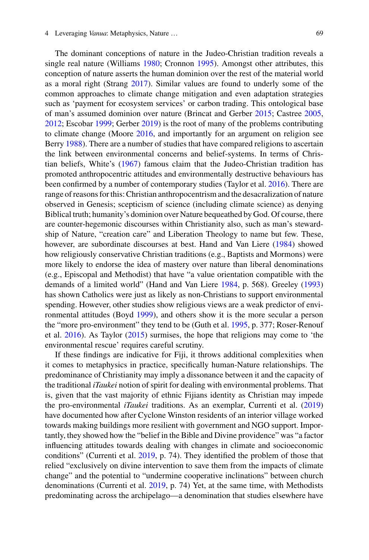The dominant conceptions of nature in the Judeo-Christian tradition reveals a single real nature (Williams [1980;](#page-20-10) Cronnon [1995\)](#page-18-8). Amongst other attributes, this conception of nature asserts the human dominion over the rest of the material world as a moral right (Strang [2017\)](#page-20-11). Similar values are found to underly some of the common approaches to climate change mitigation and even adaptation strategies such as 'payment for ecosystem services' or carbon trading. This ontological base of man's assumed dominion over nature (Brincat and Gerber [2015;](#page-18-9) Castree [2005,](#page-18-10) [2012;](#page-18-11) Escobar [1999;](#page-18-12) Gerber [2019\)](#page-18-13) is the root of many of the problems contributing to climate change (Moore [2016,](#page-19-18) and importantly for an argument on religion see Berry [1988\)](#page-17-3). There are a number of studies that have compared religions to ascertain the link between environmental concerns and belief-systems. In terms of Christian beliefs, White's [\(1967\)](#page-20-12) famous claim that the Judeo-Christian tradition has promoted anthropocentric attitudes and environmentally destructive behaviours has been confirmed by a number of contemporary studies (Taylor et al. [2016\)](#page-20-6). There are range of reasons for this: Christian anthropocentrism and the desacralization of nature observed in Genesis; scepticism of science (including climate science) as denying Biblical truth; humanity's dominion over Nature bequeathed by God. Of course, there are counter-hegemonic discourses within Christianity also, such as man's stewardship of Nature, "creation care" and Liberation Theology to name but few. These, however, are subordinate discourses at best. Hand and Van Liere [\(1984\)](#page-18-14) showed how religiously conservative Christian traditions (e.g., Baptists and Mormons) were more likely to endorse the idea of mastery over nature than liberal denominations (e.g., Episcopal and Methodist) that have "a value orientation compatible with the demands of a limited world" (Hand and Van Liere [1984,](#page-18-14) p. 568). Greeley [\(1993\)](#page-18-15) has shown Catholics were just as likely as non-Christians to support environmental spending. However, other studies show religious views are a weak predictor of environmental attitudes (Boyd [1999\)](#page-17-4), and others show it is the more secular a person the "more pro-environment" they tend to be (Guth et al. [1995,](#page-18-16) p. 377; Roser-Renouf et al. [2016\)](#page-19-19). As Taylor [\(2015\)](#page-20-13) surmises, the hope that religions may come to 'the environmental rescue' requires careful scrutiny.

If these findings are indicative for Fiji, it throws additional complexities when it comes to metaphysics in practice, specifically human-Nature relationships. The predominance of Christianity may imply a dissonance between it and the capacity of the traditional *iTaukei* notion of spirit for dealing with environmental problems. That is, given that the vast majority of ethnic Fijians identity as Christian may impede the pro-environmental *iTaukei* traditions. As an exemplar, Currenti et al. [\(2019\)](#page-18-17) have documented how after Cyclone Winston residents of an interior village worked towards making buildings more resilient with government and NGO support. Importantly, they showed how the "belief in the Bible and Divine providence" was "a factor influencing attitudes towards dealing with changes in climate and socioeconomic conditions" (Currenti et al. [2019,](#page-18-17) p. 74). They identified the problem of those that relied "exclusively on divine intervention to save them from the impacts of climate change" and the potential to "undermine cooperative inclinations" between church denominations (Currenti et al. [2019,](#page-18-17) p. 74) Yet, at the same time, with Methodists predominating across the archipelago—a denomination that studies elsewhere have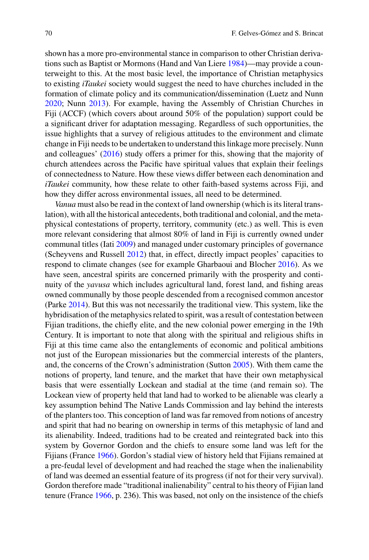shown has a more pro-environmental stance in comparison to other Christian derivations such as Baptist or Mormons (Hand and Van Liere [1984\)](#page-18-14)—may provide a counterweight to this. At the most basic level, the importance of Christian metaphysics to existing *iTaukei* society would suggest the need to have churches included in the formation of climate policy and its communication/dissemination (Luetz and Nunn [2020;](#page-19-8) Nunn [2013\)](#page-19-20). For example, having the Assembly of Christian Churches in Fiji (ACCF) (which covers about around 50% of the population) support could be a significant driver for adaptation messaging. Regardless of such opportunities, the issue highlights that a survey of religious attitudes to the environment and climate change in Fiji needs to be undertaken to understand this linkage more precisely. Nunn and colleagues' [\(2016\)](#page-19-9) study offers a primer for this, showing that the majority of church attendees across the Pacific have spiritual values that explain their feelings of connectedness to Nature. How these views differ between each denomination and *iTaukei* community, how these relate to other faith-based systems across Fiji, and how they differ across environmental issues, all need to be determined.

*Vanua* must also be read in the context of land ownership (which is its literal translation), with all the historical antecedents, both traditional and colonial, and the metaphysical contestations of property, territory, community (etc.) as well. This is even more relevant considering that almost 80% of land in Fiji is currently owned under communal titles (Iati [2009\)](#page-18-18) and managed under customary principles of governance (Scheyvens and Russell [2012\)](#page-20-14) that, in effect, directly impact peoples' capacities to respond to climate changes (see for example Gharbaoui and Blocher [2016\)](#page-18-19). As we have seen, ancestral spirits are concerned primarily with the prosperity and continuity of the *yavusa* which includes agricultural land, forest land, and fishing areas owned communally by those people descended from a recognised common ancestor (Parke [2014\)](#page-19-14). But this was not necessarily the traditional view. This system, like the hybridisation of the metaphysics related to spirit, was a result of contestation between Fijian traditions, the chiefly elite, and the new colonial power emerging in the 19th Century. It is important to note that along with the spiritual and religious shifts in Fiji at this time came also the entanglements of economic and political ambitions not just of the European missionaries but the commercial interests of the planters, and, the concerns of the Crown's administration (Sutton [2005\)](#page-20-15). With them came the notions of property, land tenure, and the market that have their own metaphysical basis that were essentially Lockean and stadial at the time (and remain so). The Lockean view of property held that land had to worked to be alienable was clearly a key assumption behind The Native Lands Commission and lay behind the interests of the planters too. This conception of land was far removed from notions of ancestry and spirit that had no bearing on ownership in terms of this metaphysic of land and its alienability. Indeed, traditions had to be created and reintegrated back into this system by Governor Gordon and the chiefs to ensure some land was left for the Fijians (France [1966\)](#page-18-0). Gordon's stadial view of history held that Fijians remained at a pre-feudal level of development and had reached the stage when the inalienability of land was deemed an essential feature of its progress (if not for their very survival). Gordon therefore made "traditional inalienability" central to his theory of Fijian land tenure (France [1966,](#page-18-0) p. 236). This was based, not only on the insistence of the chiefs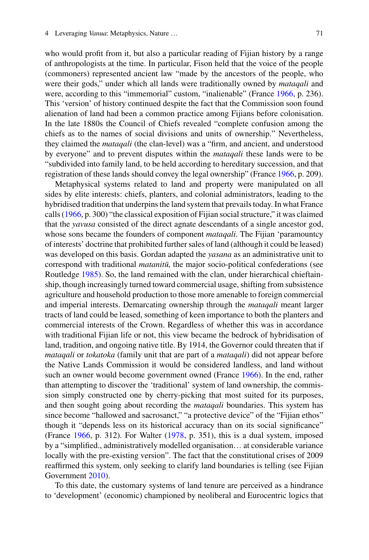who would profit from it, but also a particular reading of Fijian history by a range of anthropologists at the time. In particular, Fison held that the voice of the people (commoners) represented ancient law "made by the ancestors of the people, who were their gods," under which all lands were traditionally owned by *mataqali* and were, according to this "immemorial" custom, "inalienable" (France [1966,](#page-18-0) p. 236). This 'version' of history continued despite the fact that the Commission soon found alienation of land had been a common practice among Fijians before colonisation. In the late 1880s the Council of Chiefs revealed "complete confusion among the chiefs as to the names of social divisions and units of ownership." Nevertheless, they claimed the *mataqali* (the clan-level) was a "firm, and ancient, and understood by everyone" and to prevent disputes within the *mataqali* these lands were to be "subdivided into family land, to be held according to hereditary succession, and that registration of these lands should convey the legal ownership" (France [1966,](#page-18-0) p. 209).

Metaphysical systems related to land and property were manipulated on all sides by elite interests: chiefs, planters, and colonial administrators, leading to the hybridised tradition that underpins the land system that prevails today. In what France calls [\(1966,](#page-18-0) p. 300) "the classical exposition of Fijian social structure," it was claimed that the *yavusa* consisted of the direct agnate descendants of a single ancestor god, whose sons became the founders of component *mataqali*. The Fijian 'paramountcy of interests' doctrine that prohibited further sales of land (although it could be leased) was developed on this basis. Gordan adapted the *yasana* as an administrative unit to correspond with traditional *matanitū*, the major socio-political confederations (see Routledge [1985\)](#page-19-21). So, the land remained with the clan, under hierarchical chieftainship, though increasingly turned toward commercial usage, shifting from subsistence agriculture and household production to those more amenable to foreign commercial and imperial interests. Demarcating ownership through the *mataqali* meant larger tracts of land could be leased, something of keen importance to both the planters and commercial interests of the Crown. Regardless of whether this was in accordance with traditional Fijian life or not, this view became the bedrock of hybridisation of land, tradition, and ongoing native title. By 1914, the Governor could threaten that if *mataqali* or *tokatoka* (family unit that are part of a *mataqali*) did not appear before the Native Lands Commission it would be considered landless, and land without such an owner would become government owned (France [1966\)](#page-18-0). In the end, rather than attempting to discover the 'traditional' system of land ownership, the commission simply constructed one by cherry-picking that most suited for its purposes, and then sought going about recording the *mataqali* boundaries. This system has since become "hallowed and sacrosanct," "a protective device" of the "Fijian ethos" though it "depends less on its historical accuracy than on its social significance" (France [1966,](#page-18-0) p. 312). For Walter [\(1978,](#page-20-16) p. 351), this is a dual system, imposed by a "simplified., administratively modelled organisation… at considerable variance locally with the pre-existing version". The fact that the constitutional crises of 2009 reaffirmed this system, only seeking to clarify land boundaries is telling (see Fijian Government [2010\)](#page-20-17).

To this date, the customary systems of land tenure are perceived as a hindrance to 'development' (economic) championed by neoliberal and Eurocentric logics that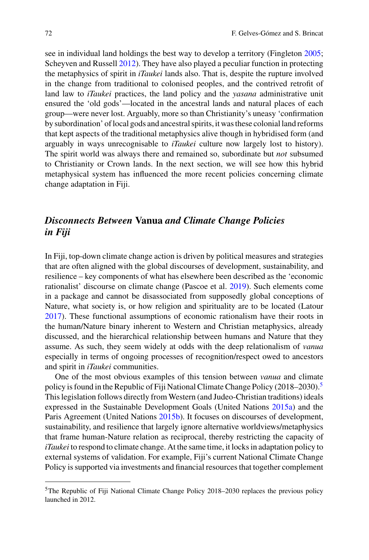see in individual land holdings the best way to develop a territory (Fingleton [2005;](#page-18-20) Scheyven and Russell [2012\)](#page-20-14). They have also played a peculiar function in protecting the metaphysics of spirit in *iTaukei* lands also. That is, despite the rupture involved in the change from traditional to colonised peoples, and the contrived retrofit of land law to *iTaukei* practices, the land policy and the *yasana* administrative unit ensured the 'old gods'—located in the ancestral lands and natural places of each group—were never lost. Arguably, more so than Christianity's uneasy 'confirmation by subordination' of local gods and ancestral spirits, it was these colonial land reforms that kept aspects of the traditional metaphysics alive though in hybridised form (and arguably in ways unrecognisable to *iTaukei* culture now largely lost to history). The spirit world was always there and remained so, subordinate but *not* subsumed to Christianity or Crown lands. In the next section, we will see how this hybrid metaphysical system has influenced the more recent policies concerning climate change adaptation in Fiji.

# *Disconnects Between* **Vanua** *and Climate Change Policies in Fiji*

In Fiji, top-down climate change action is driven by political measures and strategies that are often aligned with the global discourses of development, sustainability, and resilience – key components of what has elsewhere been described as the 'economic rationalist' discourse on climate change (Pascoe et al. [2019\)](#page-19-6). Such elements come in a package and cannot be disassociated from supposedly global conceptions of Nature, what society is, or how religion and spirituality are to be located (Latour [2017\)](#page-19-22). These functional assumptions of economic rationalism have their roots in the human/Nature binary inherent to Western and Christian metaphysics, already discussed, and the hierarchical relationship between humans and Nature that they assume. As such, they seem widely at odds with the deep relationalism of *vanua* especially in terms of ongoing processes of recognition/respect owed to ancestors and spirit in *iTaukei* communities.

One of the most obvious examples of this tension between *vanua* and climate policy is found in the Republic of Fiji National Climate Change Policy (2018–2030).<sup>5</sup> This legislation follows directly from Western (and Judeo-Christian traditions) ideals expressed in the Sustainable Development Goals (United Nations [2015a\)](#page-20-18) and the Paris Agreement (United Nations [2015b\)](#page-20-19). It focuses on discourses of development, sustainability, and resilience that largely ignore alternative worldviews/metaphysics that frame human-Nature relation as reciprocal, thereby restricting the capacity of *iTaukei* to respond to climate change. At the same time, it locks in adaptation policy to external systems of validation. For example, Fiji's current National Climate Change Policy is supported via investments and financial resources that together complement

<span id="page-13-0"></span><sup>5</sup>The Republic of Fiji National Climate Change Policy 2018–2030 replaces the previous policy launched in 2012.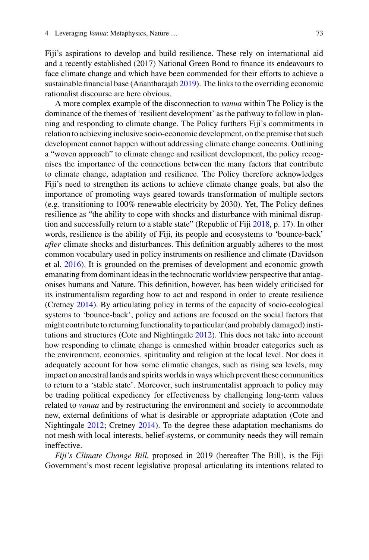Fiji's aspirations to develop and build resilience. These rely on international aid and a recently established (2017) National Green Bond to finance its endeavours to face climate change and which have been commended for their efforts to achieve a sustainable financial base (Anantharajah [2019\)](#page-17-5). The links to the overriding economic rationalist discourse are here obvious.

A more complex example of the disconnection to *vanua* within The Policy is the dominance of the themes of 'resilient development' as the pathway to follow in planning and responding to climate change. The Policy furthers Fiji's commitments in relation to achieving inclusive socio-economic development, on the premise that such development cannot happen without addressing climate change concerns. Outlining a "woven approach" to climate change and resilient development, the policy recognises the importance of the connections between the many factors that contribute to climate change, adaptation and resilience. The Policy therefore acknowledges Fiji's need to strengthen its actions to achieve climate change goals, but also the importance of promoting ways geared towards transformation of multiple sectors (e.g. transitioning to 100% renewable electricity by 2030). Yet, The Policy defines resilience as "the ability to cope with shocks and disturbance with minimal disruption and successfully return to a stable state" (Republic of Fiji [2018,](#page-19-7) p. 17). In other words, resilience is the ability of Fiji, its people and ecosystems to 'bounce-back' *after* climate shocks and disturbances. This definition arguably adheres to the most common vocabulary used in policy instruments on resilience and climate (Davidson et al. [2016\)](#page-18-21). It is grounded on the premises of development and economic growth emanating from dominant ideas in the technocratic worldview perspective that antagonises humans and Nature. This definition, however, has been widely criticised for its instrumentalism regarding how to act and respond in order to create resilience (Cretney [2014\)](#page-18-22). By articulating policy in terms of the capacity of socio-ecological systems to 'bounce-back', policy and actions are focused on the social factors that might contribute to returning functionality to particular (and probably damaged) institutions and structures (Cote and Nightingale [2012\)](#page-18-23). This does not take into account how responding to climate change is enmeshed within broader categories such as the environment, economics, spirituality and religion at the local level. Nor does it adequately account for how some climatic changes, such as rising sea levels, may impact on ancestral lands and spirits worlds in ways which prevent these communities to return to a 'stable state'. Moreover, such instrumentalist approach to policy may be trading political expediency for effectiveness by challenging long-term values related to *vanua* and by restructuring the environment and society to accommodate new, external definitions of what is desirable or appropriate adaptation (Cote and Nightingale [2012;](#page-18-23) Cretney [2014\)](#page-18-22). To the degree these adaptation mechanisms do not mesh with local interests, belief-systems, or community needs they will remain ineffective.

*Fiji's Climate Change Bill*, proposed in 2019 (hereafter The Bill), is the Fiji Government's most recent legislative proposal articulating its intentions related to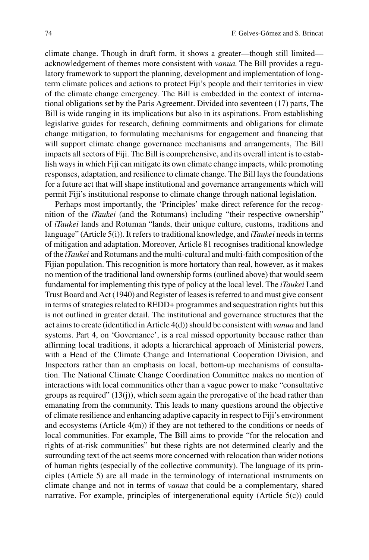climate change. Though in draft form, it shows a greater—though still limited acknowledgement of themes more consistent with *vanua*. The Bill provides a regulatory framework to support the planning, development and implementation of longterm climate polices and actions to protect Fiji's people and their territories in view of the climate change emergency. The Bill is embedded in the context of international obligations set by the Paris Agreement. Divided into seventeen (17) parts, The Bill is wide ranging in its implications but also in its aspirations. From establishing legislative guides for research, defining commitments and obligations for climate change mitigation, to formulating mechanisms for engagement and financing that will support climate change governance mechanisms and arrangements, The Bill impacts all sectors of Fiji. The Bill is comprehensive, and its overall intent is to establish ways in which Fiji can mitigate its own climate change impacts, while promoting responses, adaptation, and resilience to climate change. The Bill lays the foundations for a future act that will shape institutional and governance arrangements which will permit Fiji's institutional response to climate change through national legislation.

Perhaps most importantly, the 'Principles' make direct reference for the recognition of the *iTaukei* (and the Rotumans) including "their respective ownership" of *iTaukei* lands and Rotuman "lands, their unique culture, customs, traditions and language" (Article 5(i)). It refers to traditional knowledge, and *iTaukei* needs in terms of mitigation and adaptation. Moreover, Article 81 recognises traditional knowledge of the *iTaukei* and Rotumans and the multi-cultural and multi-faith composition of the Fijian population. This recognition is more hortatory than real, however, as it makes no mention of the traditional land ownership forms (outlined above) that would seem fundamental for implementing this type of policy at the local level. The *iTaukei* Land Trust Board and Act (1940) and Register of leases is referred to and must give consent in terms of strategies related to REDD+ programmes and sequestration rights but this is not outlined in greater detail. The institutional and governance structures that the act aims to create (identified in Article 4(d)) should be consistent with *vanua* and land systems. Part 4, on 'Governance', is a real missed opportunity because rather than affirming local traditions, it adopts a hierarchical approach of Ministerial powers, with a Head of the Climate Change and International Cooperation Division, and Inspectors rather than an emphasis on local, bottom-up mechanisms of consultation. The National Climate Change Coordination Committee makes no mention of interactions with local communities other than a vague power to make "consultative groups as required" (13(j)), which seem again the prerogative of the head rather than emanating from the community. This leads to many questions around the objective of climate resilience and enhancing adaptive capacity in respect to Fiji's environment and ecosystems (Article 4(m)) if they are not tethered to the conditions or needs of local communities. For example, The Bill aims to provide "for the relocation and rights of at-risk communities" but these rights are not determined clearly and the surrounding text of the act seems more concerned with relocation than wider notions of human rights (especially of the collective community). The language of its principles (Article 5) are all made in the terminology of international instruments on climate change and not in terms of *vanua* that could be a complementary, shared narrative. For example, principles of intergenerational equity (Article 5(c)) could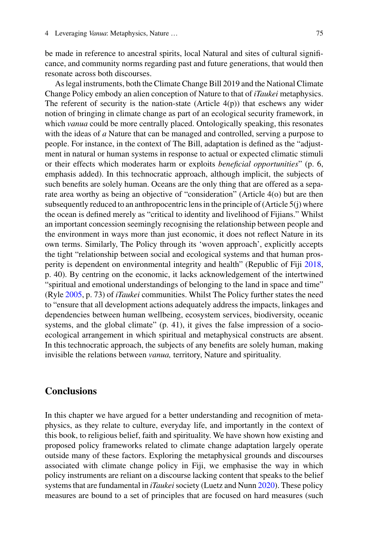be made in reference to ancestral spirits, local Natural and sites of cultural significance, and community norms regarding past and future generations, that would then resonate across both discourses.

As legal instruments, both the Climate Change Bill 2019 and the National Climate Change Policy embody an alien conception of Nature to that of *iTaukei* metaphysics. The referent of security is the nation-state (Article  $4(p)$ ) that eschews any wider notion of bringing in climate change as part of an ecological security framework, in which *vanua* could be more centrally placed. Ontologically speaking, this resonates with the ideas of *a* Nature that can be managed and controlled, serving a purpose to people. For instance, in the context of The Bill, adaptation is defined as the "adjustment in natural or human systems in response to actual or expected climatic stimuli or their effects which moderates harm or exploits *beneficial opportunities*" (p. 6, emphasis added). In this technocratic approach, although implicit, the subjects of such benefits are solely human. Oceans are the only thing that are offered as a separate area worthy as being an objective of "consideration" (Article 4(o) but are then subsequently reduced to an anthropocentric lens in the principle of (Article  $5(i)$ ) where the ocean is defined merely as "critical to identity and livelihood of Fijians." Whilst an important concession seemingly recognising the relationship between people and the environment in ways more than just economic, it does not reflect Nature in its own terms. Similarly, The Policy through its 'woven approach', explicitly accepts the tight "relationship between social and ecological systems and that human prosperity is dependent on environmental integrity and health" (Republic of Fiji [2018,](#page-19-7) p. 40). By centring on the economic, it lacks acknowledgement of the intertwined "spiritual and emotional understandings of belonging to the land in space and time" (Ryle [2005,](#page-20-7) p. 73) of *iTaukei* communities. Whilst The Policy further states the need to "ensure that all development actions adequately address the impacts, linkages and dependencies between human wellbeing, ecosystem services, biodiversity, oceanic systems, and the global climate" (p. 41), it gives the false impression of a socioecological arrangement in which spiritual and metaphysical constructs are absent. In this technocratic approach, the subjects of any benefits are solely human, making invisible the relations between *vanua,* territory, Nature and spirituality.

# **Conclusions**

In this chapter we have argued for a better understanding and recognition of metaphysics, as they relate to culture, everyday life, and importantly in the context of this book, to religious belief, faith and spirituality. We have shown how existing and proposed policy frameworks related to climate change adaptation largely operate outside many of these factors. Exploring the metaphysical grounds and discourses associated with climate change policy in Fiji, we emphasise the way in which policy instruments are reliant on a discourse lacking content that speaks to the belief systems that are fundamental in *iTaukei* society (Luetz and Nunn [2020\)](#page-19-8). These policy measures are bound to a set of principles that are focused on hard measures (such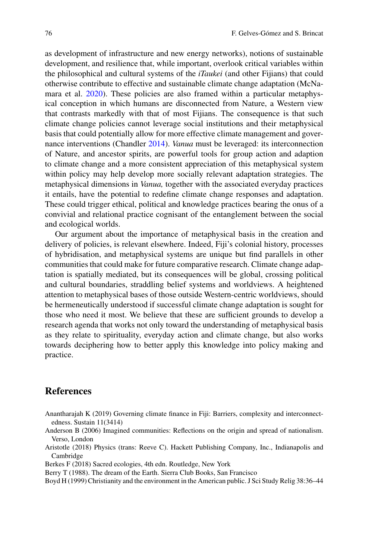as development of infrastructure and new energy networks), notions of sustainable development, and resilience that, while important, overlook critical variables within the philosophical and cultural systems of the *iTaukei* (and other Fijians) that could otherwise contribute to effective and sustainable climate change adaptation (McNamara et al. [2020\)](#page-19-23). These policies are also framed within a particular metaphysical conception in which humans are disconnected from Nature, a Western view that contrasts markedly with that of most Fijians. The consequence is that such climate change policies cannot leverage social institutions and their metaphysical basis that could potentially allow for more effective climate management and governance interventions (Chandler [2014\)](#page-18-24). *Vanua* must be leveraged: its interconnection of Nature, and ancestor spirits, are powerful tools for group action and adaption to climate change and a more consistent appreciation of this metaphysical system within policy may help develop more socially relevant adaptation strategies. The metaphysical dimensions in *Vanua,* together with the associated everyday practices it entails, have the potential to redefine climate change responses and adaptation. These could trigger ethical, political and knowledge practices bearing the onus of a convivial and relational practice cognisant of the entanglement between the social and ecological worlds.

Our argument about the importance of metaphysical basis in the creation and delivery of policies, is relevant elsewhere. Indeed, Fiji's colonial history, processes of hybridisation, and metaphysical systems are unique but find parallels in other communities that could make for future comparative research. Climate change adaptation is spatially mediated, but its consequences will be global, crossing political and cultural boundaries, straddling belief systems and worldviews. A heightened attention to metaphysical bases of those outside Western-centric worldviews, should be hermeneutically understood if successful climate change adaptation is sought for those who need it most. We believe that these are sufficient grounds to develop a research agenda that works not only toward the understanding of metaphysical basis as they relate to spirituality, everyday action and climate change, but also works towards deciphering how to better apply this knowledge into policy making and practice.

## **References**

- <span id="page-17-5"></span>Anantharajah K (2019) Governing climate finance in Fiji: Barriers, complexity and interconnectedness. Sustain 11(3414)
- <span id="page-17-2"></span>Anderson B (2006) Imagined communities: Reflections on the origin and spread of nationalism. Verso, London
- <span id="page-17-1"></span>Aristotle (2018) Physics (trans: Reeve C). Hackett Publishing Company, Inc., Indianapolis and Cambridge
- <span id="page-17-0"></span>Berkes F (2018) Sacred ecologies, 4th edn. Routledge, New York
- <span id="page-17-3"></span>Berry T (1988). The dream of the Earth. Sierra Club Books, San Francisco

<span id="page-17-4"></span>Boyd H (1999) Christianity and the environment in the American public. J Sci Study Relig 38:36–44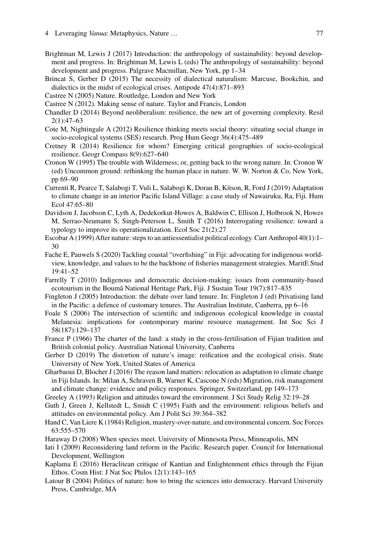- <span id="page-18-4"></span>Brightman M, Lewis J (2017) Introduction: the anthropology of sustainability: beyond development and progress. In: Brightman M, Lewis L (eds) The anthropology of sustainability: beyond development and progress. Palgrave Macmillan, New York, pp 1–34
- <span id="page-18-9"></span>Brincat S, Gerber D (2015) The necessity of dialectical naturalism: Marcuse, Bookchin, and dialectics in the midst of ecological crises. Antipode 47(4):871–893
- <span id="page-18-10"></span>Castree N (2005) Nature. Routledge, London and New York
- <span id="page-18-11"></span>Castree N (2012). Making sense of nature. Taylor and Francis, London
- <span id="page-18-24"></span>Chandler D (2014) Beyond neoliberalism: resilience, the new art of governing complexity. Resil 2(1):47–63
- <span id="page-18-23"></span>Cote M, Nightingale A (2012) Resilience thinking meets social theory: situating social change in socio-ecological systems (SES) research. Prog Hum Geogr 36(4):475–489
- <span id="page-18-22"></span>Cretney R (2014) Resilience for whom? Emerging critical geographies of socio-ecological resilience. Geogr Compass 8(9):627–640
- <span id="page-18-8"></span>Cronon W (1995) The trouble with Wilderness; or, getting back to the wrong nature. In: Cronon W (ed) Uncommon ground: rethinking the human place in nature. W. W. Norton & Co, New York, pp 69–90
- <span id="page-18-17"></span>Currenti R, Pearce T, Salabogi T, Vuli L, Salabogi K, Doran B, Kitson, R, Ford J (2019) Adaptation to climate change in an interior Pacific Island Village: a case study of Nawairuku, Ra, Fiji. Hum Ecol 47:65–80
- <span id="page-18-21"></span>Davidson J, Jacobson C, Lyth A, Dedekorkut-Howes A, Baldwin C, Ellison J, Holbrook N, Howes M, Serrao-Neumann S, Singh-Peterson L, Smith T (2016) Interrogating resilience: toward a typology to improve its operationalization. Ecol Soc 21(2):27
- <span id="page-18-12"></span>Escobar A (1999) After nature: steps to an antiessentialist political ecology. Curr Anthropol 40(1):1– 30
- <span id="page-18-2"></span>Fache E, Pauwels S (2020) Tackling coastal "overfishing" in Fiji: advocating for indigenous worldview, knowledge, and values to be the backbone of fisheries management strategies. MaritE Stud 19:41–52
- <span id="page-18-6"></span>Farrelly T (2010) Indigenous and democratic decision-making: issues from community-based ecotourism in the Boumā National Heritage Park, Fiji. J Sustain Tour 19(7):817-835
- <span id="page-18-20"></span>Fingleton J (2005) Introduction: the debate over land tenure. In: Fingleton J (ed) Privatising land in the Pacific: a defence of customary tenures. The Australian Institute, Canberra, pp 6–16
- <span id="page-18-5"></span>Foale S (2006) The intersection of scientific and indigenous ecological knowledge in coastal Melanesia: implications for contemporary marine resource management. Int Soc Sci J 58(187):129–137
- <span id="page-18-0"></span>France P (1966) The charter of the land: a study in the cross-fertilisation of Fijian tradition and British colonial policy. Australian National University, Canberra
- <span id="page-18-13"></span>Gerber D (2019) The distortion of nature's image: reification and the ecological crisis. State University of New York, United States of America
- <span id="page-18-19"></span>Gharbaoui D, Blocher J (2016) The reason land matters: relocation as adaptation to climate change in Fiji Islands. In: Milan A, Schraven B, Warner K, Cascone N (eds) Migration, risk management and climate change: evidence and policy responses. Springer, Switzerland, pp 149–173
- <span id="page-18-15"></span>Greeley A (1993) Religion and attitudes toward the environment. J Sci Study Relig 32:19–28
- <span id="page-18-16"></span>Guth J, Green J, Kellstedt L, Smidt C (1995) Faith and the environment: religious beliefs and attitudes on environmental policy. Am J Polit Sci 39:364–382
- <span id="page-18-14"></span>Hand C, Van Liere K (1984) Religion, mastery-over-nature, and environmental concern. Soc Forces 63:555–570
- <span id="page-18-7"></span>Haraway D (2008) When species meet. University of Minnesota Press, Minneapolis, MN
- <span id="page-18-18"></span>Iati I (2009) Reconsidering land reform in the Pacific. Research paper. Council for International Development, Wellington
- <span id="page-18-1"></span>Kaplama E (2016) Heraclitean critique of Kantian and Enlightenment ethics through the Fijian Ethos. Cosm Hist: J Nat Soc Philos 12(1):143–165
- <span id="page-18-3"></span>Latour B (2004) Politics of nature: how to bring the sciences into democracy. Harvard University Press, Cambridge, MA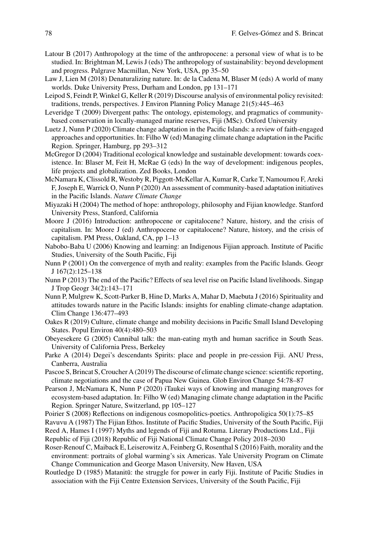- <span id="page-19-22"></span>Latour B (2017) Anthropology at the time of the anthropocene: a personal view of what is to be studied. In: Brightman M, Lewis J (eds) The anthropology of sustainability: beyond development and progress. Palgrave Macmillan, New York, USA, pp 35–50
- <span id="page-19-13"></span>Law J, Lien M (2018) Denaturalizing nature. In: de la Cadena M, Blaser M (eds) A world of many worlds. Duke University Press, Durham and London, pp 131–171
- <span id="page-19-5"></span>Leipod S, Feindt P, Winkel G, Keller R (2019) Discourse analysis of environmental policy revisited: traditions, trends, perspectives. J Environ Planning Policy Manage 21(5):445–463
- <span id="page-19-11"></span>Leveridge T (2009) Divergent paths: The ontology, epistemology, and pragmatics of communitybased conservation in locally-managed marine reserves, Fiji (MSc). Oxford University
- <span id="page-19-8"></span>Luetz J, Nunn P (2020) Climate change adaptation in the Pacific Islands: a review of faith-engaged approaches and opportunities. In: Filho W (ed) Managing climate change adaptation in the Pacific Region. Springer, Hamburg, pp 293–312
- <span id="page-19-1"></span>McGregor D (2004) Traditional ecological knowledge and sustainable development: towards coexistence. In: Blaser M, Feit H, McRae G (eds) In the way of development: indigenous peoples, life projects and globalization. Zed Books, London
- <span id="page-19-23"></span>McNamara K, Clissold R, Westoby R, Piggott-McKellar A, Kumar R, Carke T, Namoumou F, Areki F, Joseph E, Warrick O, Nunn P (2020) An assessment of community-based adaptation initiatives in the Pacific Islands. *Nature Climate Change*
- <span id="page-19-3"></span>Miyazaki H (2004) The method of hope: anthropology, philosophy and Fijian knowledge. Stanford University Press, Stanford, California
- <span id="page-19-18"></span>Moore J (2016) Introduction: anthropocene or capitalocene? Nature, history, and the crisis of capitalism. In: Moore J (ed) Anthropocene or capitalocene? Nature, history, and the crisis of capitalism. PM Press, Oakland, CA, pp 1–13
- <span id="page-19-12"></span>Nabobo-Baba U (2006) Knowing and learning: an Indigenous Fijian approach. Institute of Pacific Studies, University of the South Pacific, Fiji
- <span id="page-19-17"></span>Nunn P (2001) On the convergence of myth and reality: examples from the Pacific Islands. Geogr J 167(2):125–138
- <span id="page-19-20"></span>Nunn P (2013) The end of the Pacific? Effects of sea level rise on Pacific Island livelihoods. Singap J Trop Geogr 34(2):143–171
- <span id="page-19-9"></span>Nunn P, Mulgrew K, Scott-Parker B, Hine D, Marks A, Mahar D, Maebuta J (2016) Spirituality and attitudes towards nature in the Pacific Islands: insights for enabling climate-change adaptation. Clim Change 136:477–493
- <span id="page-19-10"></span>Oakes R (2019) Culture, climate change and mobility decisions in Pacific Small Island Developing States. Popul Environ 40(4):480–503
- <span id="page-19-4"></span>Obeyesekere G (2005) Cannibal talk: the man-eating myth and human sacrifice in South Seas. University of California Press, Berkeley
- <span id="page-19-14"></span>Parke A (2014) Degei's descendants Spirits: place and people in pre-cession Fiji. ANU Press, Canberra, Australia
- <span id="page-19-6"></span>Pascoe S, Brincat S, Croucher A (2019) The discourse of climate change science: scientific reporting, climate negotiations and the case of Papua New Guinea. Glob Environ Change 54:78–87
- <span id="page-19-0"></span>Pearson J, McNamara K, Nunn P (2020) iTaukei ways of knowing and managing mangroves for ecosystem-based adaptation. In: Filho W (ed) Managing climate change adaptation in the Pacific Region. Springer Nature, Switzerland, pp 105–127
- <span id="page-19-16"></span>Poirier S (2008) Reflections on indigenous cosmopolitics-poetics. Anthropoligica 50(1):75–85
- <span id="page-19-2"></span>Ravuvu A (1987) The Fijian Ethos. Institute of Pacific Studies, University of the South Pacific, Fiji
- <span id="page-19-15"></span>Reed A, Hames I (1997) Myths and legends of Fiji and Rotuma. Literary Productions Ltd., Fiji
- <span id="page-19-7"></span>Republic of Fiji (2018) Republic of Fiji National Climate Change Policy 2018–2030
- <span id="page-19-19"></span>Roser-Renouf C, Maiback E, Leiserowitz A, Feinberg G, Rosenthal S (2016) Faith, morality and the environment: portraits of global warming's six Americas. Yale University Program on Climate Change Communication and George Mason University, New Haven, USA
- <span id="page-19-21"></span>Routledge D (1985) Matanitū: the struggle for power in early Fiji. Institute of Pacific Studies in association with the Fiji Centre Extension Services, University of the South Pacific, Fiji